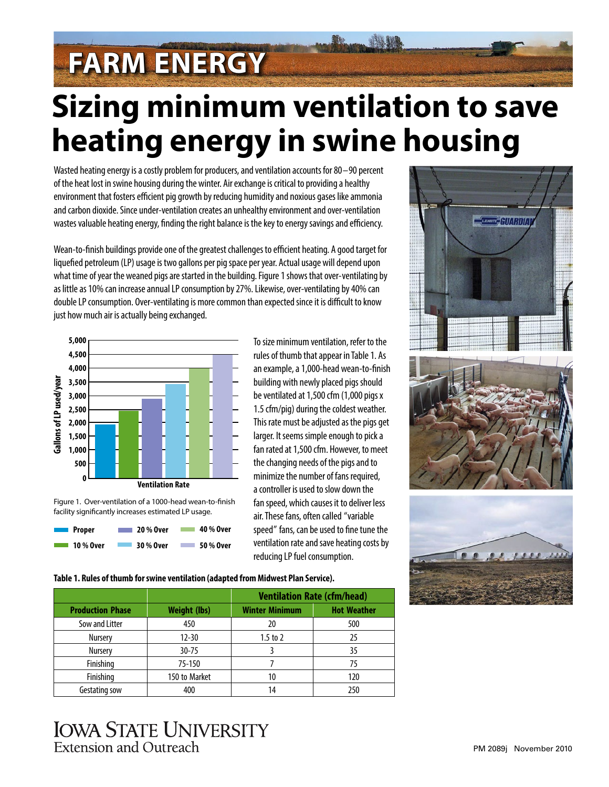# **FARM ENERGY**

## **Sizing minimum ventilation to save heating energy in swine housing**

Wasted heating energy is a costly problem for producers, and ventilation accounts for 80–90 percent of the heat lost in swine housing during the winter. Air exchange is critical to providing a healthy environment that fosters efficient pig growth by reducing humidity and noxious gases like ammonia and carbon dioxide. Since under-ventilation creates an unhealthy environment and over-ventilation wastes valuable heating energy, finding the right balance is the key to energy savings and efficiency.

Wean-to-finish buildings provide one of the greatest challenges to efficient heating. A good target for liquefied petroleum (LP) usage is two gallons per pig space per year. Actual usage will depend upon what time of year the weaned pigs are started in the building. Figure 1 shows that over-ventilating by as little as 10% can increase annual LP consumption by 27%. Likewise, over-ventilating by 40% can double LP consumption. Over-ventilating is more common than expected since it is difficult to know just how much air is actually being exchanged.







To size minimum ventilation, refer to the rules of thumb that appear in Table 1. As an example, a 1,000-head wean-to-finish building with newly placed pigs should be ventilated at 1,500 cfm (1,000 pigs x 1.5 cfm/pig) during the coldest weather. This rate must be adjusted as the pigs get larger. It seems simple enough to pick a fan rated at 1,500 cfm. However, to meet the changing needs of the pigs and to minimize the number of fans required, a controller is used to slow down the fan speed, which causes it to deliver less air. These fans, often called "variable speed" fans, can be used to fine tune the ventilation rate and save heating costs by reducing LP fuel consumption.





#### **Table 1. Rules of thumb for swine ventilation (adapted from Midwest Plan Service).**

|                         |                     | <b>Ventilation Rate (cfm/head)</b> |                    |
|-------------------------|---------------------|------------------------------------|--------------------|
| <b>Production Phase</b> | <b>Weight (lbs)</b> | <b>Winter Minimum</b>              | <b>Hot Weather</b> |
| Sow and Litter          | 450                 | 20                                 | 500                |
| <b>Nursery</b>          | $12 - 30$           | $1.5$ to $2$                       | 25                 |
| <b>Nursery</b>          | $30 - 75$           |                                    | 35                 |
| Finishing               | 75-150              |                                    | 75                 |
| Finishing               | 150 to Market       | 10                                 | 120                |
| Gestating sow           | 400                 | 14                                 | 250                |